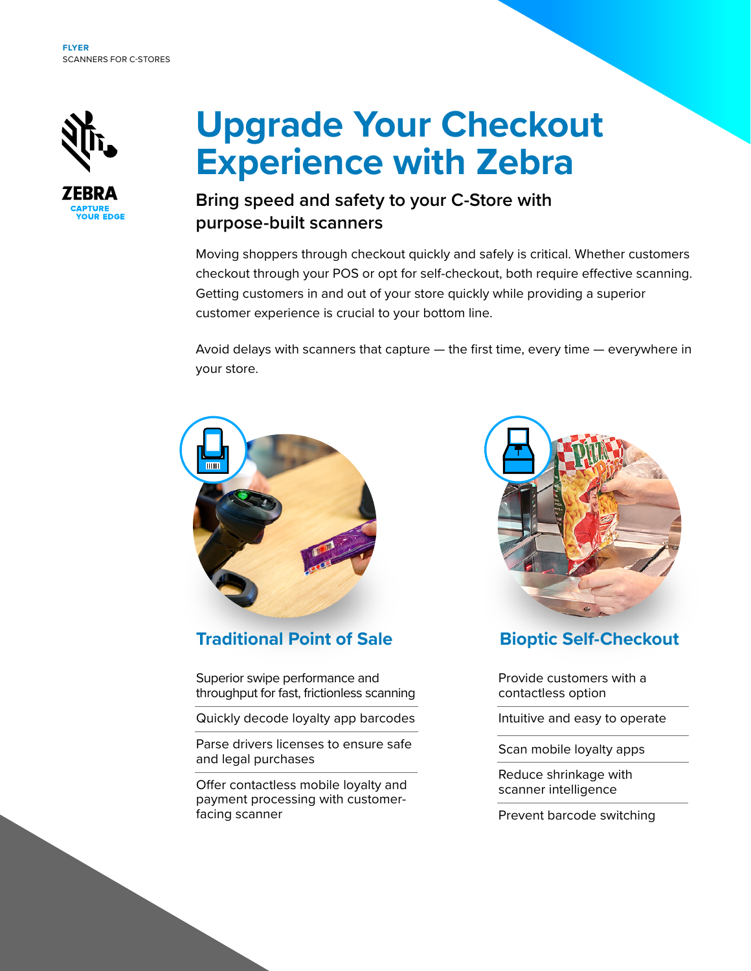

# **Upgrade Your Checkout Experience with Zebra**

# **Bring speed and safety to your C-Store with purpose-built scanners**

Moving shoppers through checkout quickly and safely is critical. Whether customers checkout through your POS or opt for self-checkout, both require effective scanning. Getting customers in and out of your store quickly while providing a superior customer experience is crucial to your bottom line.

Avoid delays with scanners that capture — the first time, every time — everywhere in your store.



### **Traditional Point of Sale**

Superior swipe performance and throughput for fast, frictionless scanning

Quickly decode loyalty app barcodes

Parse drivers licenses to ensure safe and legal purchases

Offer contactless mobile loyalty and payment processing with customerfacing scanner



# **Bioptic Self-Checkout**

Provide customers with a contactless option

Intuitive and easy to operate

Scan mobile loyalty apps

Reduce shrinkage with scanner intelligence

Prevent barcode switching